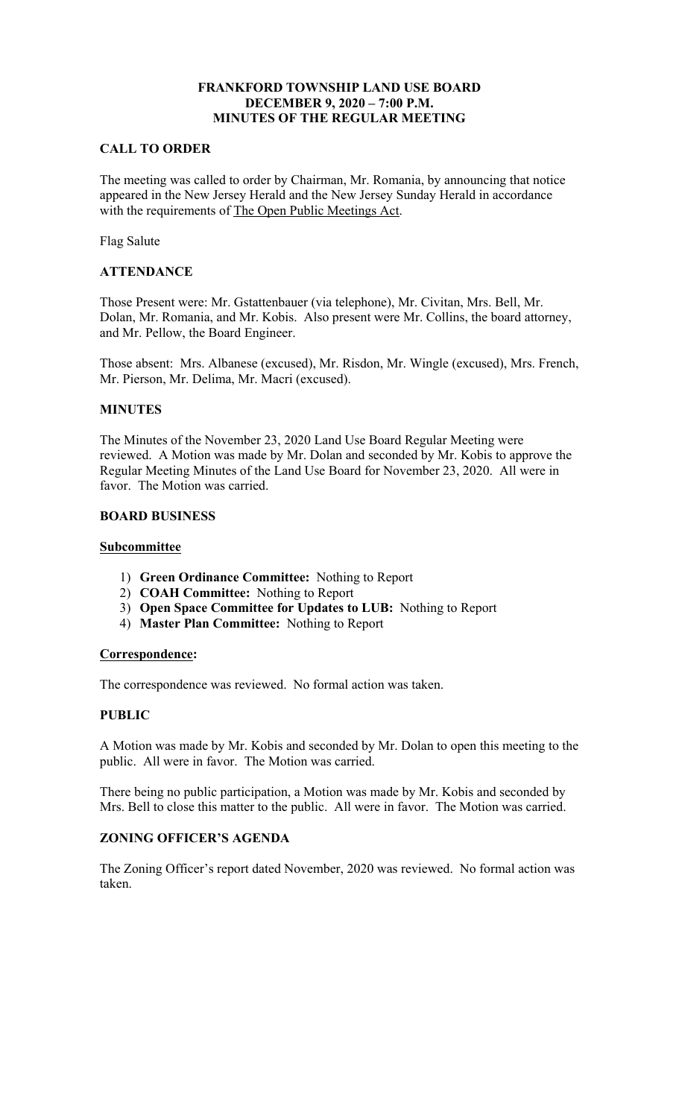# **FRANKFORD TOWNSHIP LAND USE BOARD DECEMBER 9, 2020 – 7:00 P.M. MINUTES OF THE REGULAR MEETING**

# **CALL TO ORDER**

The meeting was called to order by Chairman, Mr. Romania, by announcing that notice appeared in the New Jersey Herald and the New Jersey Sunday Herald in accordance with the requirements of The Open Public Meetings Act.

Flag Salute

### **ATTENDANCE**

Those Present were: Mr. Gstattenbauer (via telephone), Mr. Civitan, Mrs. Bell, Mr. Dolan, Mr. Romania, and Mr. Kobis. Also present were Mr. Collins, the board attorney, and Mr. Pellow, the Board Engineer.

Those absent: Mrs. Albanese (excused), Mr. Risdon, Mr. Wingle (excused), Mrs. French, Mr. Pierson, Mr. Delima, Mr. Macri (excused).

### **MINUTES**

The Minutes of the November 23, 2020 Land Use Board Regular Meeting were reviewed. A Motion was made by Mr. Dolan and seconded by Mr. Kobis to approve the Regular Meeting Minutes of the Land Use Board for November 23, 2020. All were in favor. The Motion was carried.

#### **BOARD BUSINESS**

#### **Subcommittee**

- 1) **Green Ordinance Committee:** Nothing to Report
- 2) **COAH Committee:** Nothing to Report
- 3) **Open Space Committee for Updates to LUB:** Nothing to Report
- 4) **Master Plan Committee:** Nothing to Report

### **Correspondence:**

The correspondence was reviewed. No formal action was taken.

### **PUBLIC**

A Motion was made by Mr. Kobis and seconded by Mr. Dolan to open this meeting to the public. All were in favor. The Motion was carried.

There being no public participation, a Motion was made by Mr. Kobis and seconded by Mrs. Bell to close this matter to the public. All were in favor. The Motion was carried.

### **ZONING OFFICER'S AGENDA**

The Zoning Officer's report dated November, 2020 was reviewed. No formal action was taken.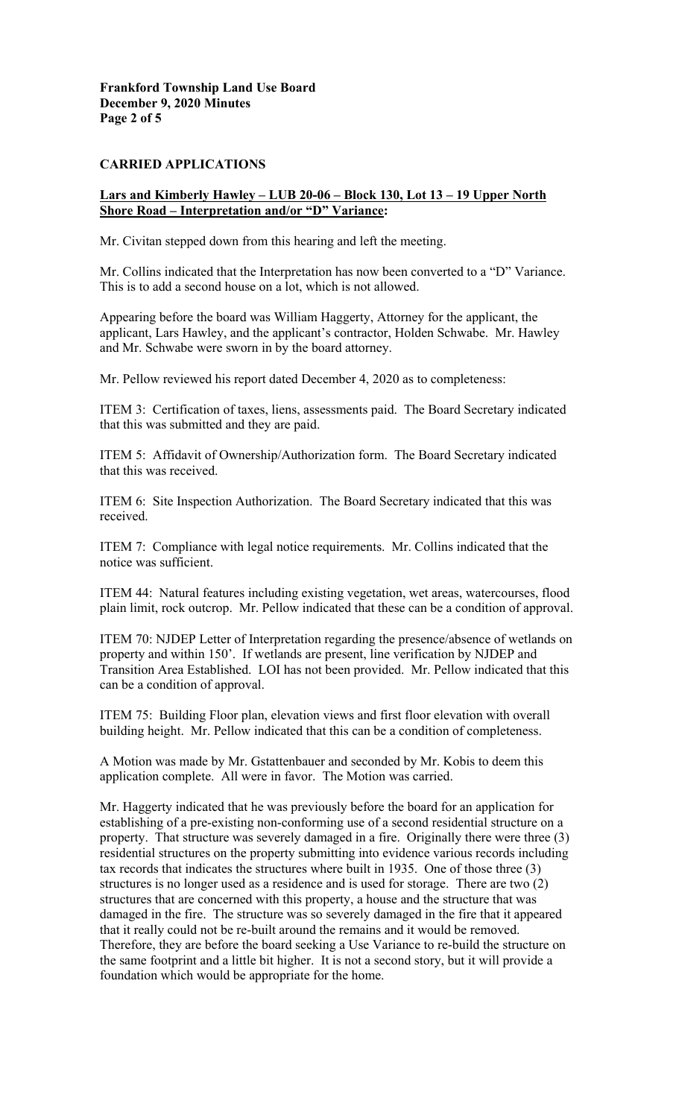### **CARRIED APPLICATIONS**

#### **Lars and Kimberly Hawley – LUB 20-06 – Block 130, Lot 13 – 19 Upper North Shore Road – Interpretation and/or "D" Variance:**

Mr. Civitan stepped down from this hearing and left the meeting.

Mr. Collins indicated that the Interpretation has now been converted to a "D" Variance. This is to add a second house on a lot, which is not allowed.

Appearing before the board was William Haggerty, Attorney for the applicant, the applicant, Lars Hawley, and the applicant's contractor, Holden Schwabe. Mr. Hawley and Mr. Schwabe were sworn in by the board attorney.

Mr. Pellow reviewed his report dated December 4, 2020 as to completeness:

ITEM 3: Certification of taxes, liens, assessments paid. The Board Secretary indicated that this was submitted and they are paid.

ITEM 5: Affidavit of Ownership/Authorization form. The Board Secretary indicated that this was received.

ITEM 6: Site Inspection Authorization. The Board Secretary indicated that this was received.

ITEM 7: Compliance with legal notice requirements. Mr. Collins indicated that the notice was sufficient.

ITEM 44: Natural features including existing vegetation, wet areas, watercourses, flood plain limit, rock outcrop. Mr. Pellow indicated that these can be a condition of approval.

ITEM 70: NJDEP Letter of Interpretation regarding the presence/absence of wetlands on property and within 150'. If wetlands are present, line verification by NJDEP and Transition Area Established. LOI has not been provided. Mr. Pellow indicated that this can be a condition of approval.

ITEM 75: Building Floor plan, elevation views and first floor elevation with overall building height. Mr. Pellow indicated that this can be a condition of completeness.

A Motion was made by Mr. Gstattenbauer and seconded by Mr. Kobis to deem this application complete. All were in favor. The Motion was carried.

Mr. Haggerty indicated that he was previously before the board for an application for establishing of a pre-existing non-conforming use of a second residential structure on a property. That structure was severely damaged in a fire. Originally there were three (3) residential structures on the property submitting into evidence various records including tax records that indicates the structures where built in 1935. One of those three (3) structures is no longer used as a residence and is used for storage. There are two (2) structures that are concerned with this property, a house and the structure that was damaged in the fire. The structure was so severely damaged in the fire that it appeared that it really could not be re-built around the remains and it would be removed. Therefore, they are before the board seeking a Use Variance to re-build the structure on the same footprint and a little bit higher. It is not a second story, but it will provide a foundation which would be appropriate for the home.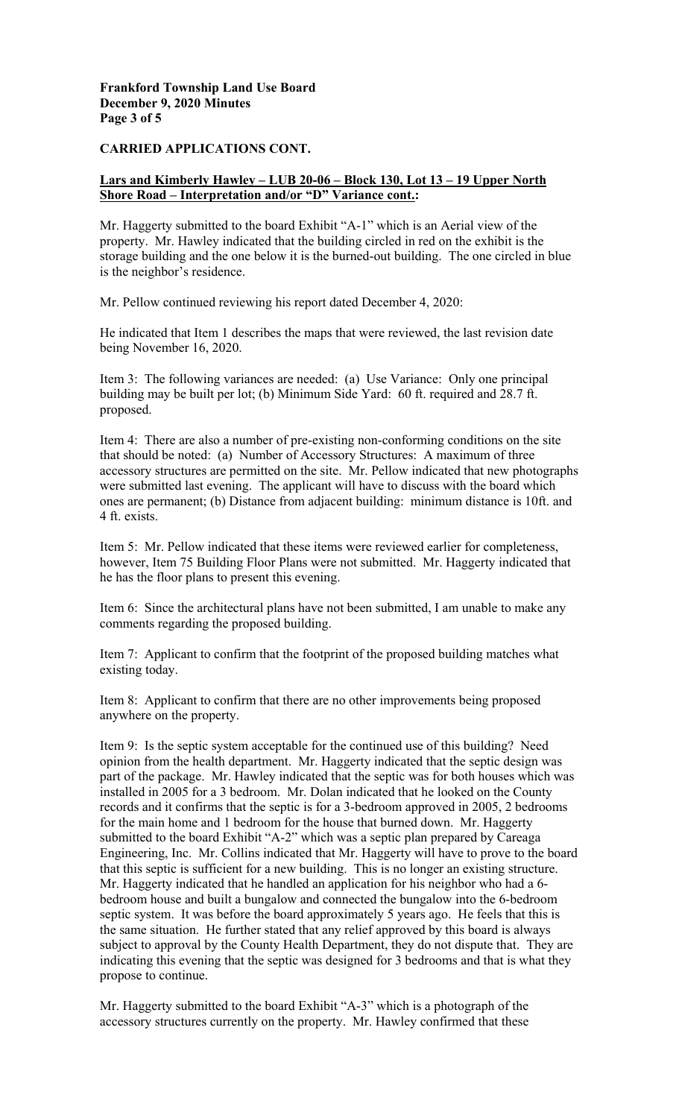### **Frankford Township Land Use Board December 9, 2020 Minutes Page 3 of 5**

## **CARRIED APPLICATIONS CONT.**

### **Lars and Kimberly Hawley – LUB 20-06 – Block 130, Lot 13 – 19 Upper North Shore Road – Interpretation and/or "D" Variance cont.:**

Mr. Haggerty submitted to the board Exhibit "A-1" which is an Aerial view of the property. Mr. Hawley indicated that the building circled in red on the exhibit is the storage building and the one below it is the burned-out building. The one circled in blue is the neighbor's residence.

Mr. Pellow continued reviewing his report dated December 4, 2020:

He indicated that Item 1 describes the maps that were reviewed, the last revision date being November 16, 2020.

Item 3: The following variances are needed: (a) Use Variance: Only one principal building may be built per lot; (b) Minimum Side Yard: 60 ft. required and 28.7 ft. proposed.

Item 4: There are also a number of pre-existing non-conforming conditions on the site that should be noted: (a) Number of Accessory Structures: A maximum of three accessory structures are permitted on the site. Mr. Pellow indicated that new photographs were submitted last evening. The applicant will have to discuss with the board which ones are permanent; (b) Distance from adjacent building: minimum distance is 10ft. and 4 ft. exists.

Item 5: Mr. Pellow indicated that these items were reviewed earlier for completeness, however, Item 75 Building Floor Plans were not submitted. Mr. Haggerty indicated that he has the floor plans to present this evening.

Item 6: Since the architectural plans have not been submitted, I am unable to make any comments regarding the proposed building.

Item 7: Applicant to confirm that the footprint of the proposed building matches what existing today.

Item 8: Applicant to confirm that there are no other improvements being proposed anywhere on the property.

Item 9: Is the septic system acceptable for the continued use of this building? Need opinion from the health department. Mr. Haggerty indicated that the septic design was part of the package. Mr. Hawley indicated that the septic was for both houses which was installed in 2005 for a 3 bedroom. Mr. Dolan indicated that he looked on the County records and it confirms that the septic is for a 3-bedroom approved in 2005, 2 bedrooms for the main home and 1 bedroom for the house that burned down. Mr. Haggerty submitted to the board Exhibit "A-2" which was a septic plan prepared by Careaga Engineering, Inc. Mr. Collins indicated that Mr. Haggerty will have to prove to the board that this septic is sufficient for a new building. This is no longer an existing structure. Mr. Haggerty indicated that he handled an application for his neighbor who had a 6 bedroom house and built a bungalow and connected the bungalow into the 6-bedroom septic system. It was before the board approximately 5 years ago. He feels that this is the same situation. He further stated that any relief approved by this board is always subject to approval by the County Health Department, they do not dispute that. They are indicating this evening that the septic was designed for 3 bedrooms and that is what they propose to continue.

Mr. Haggerty submitted to the board Exhibit "A-3" which is a photograph of the accessory structures currently on the property. Mr. Hawley confirmed that these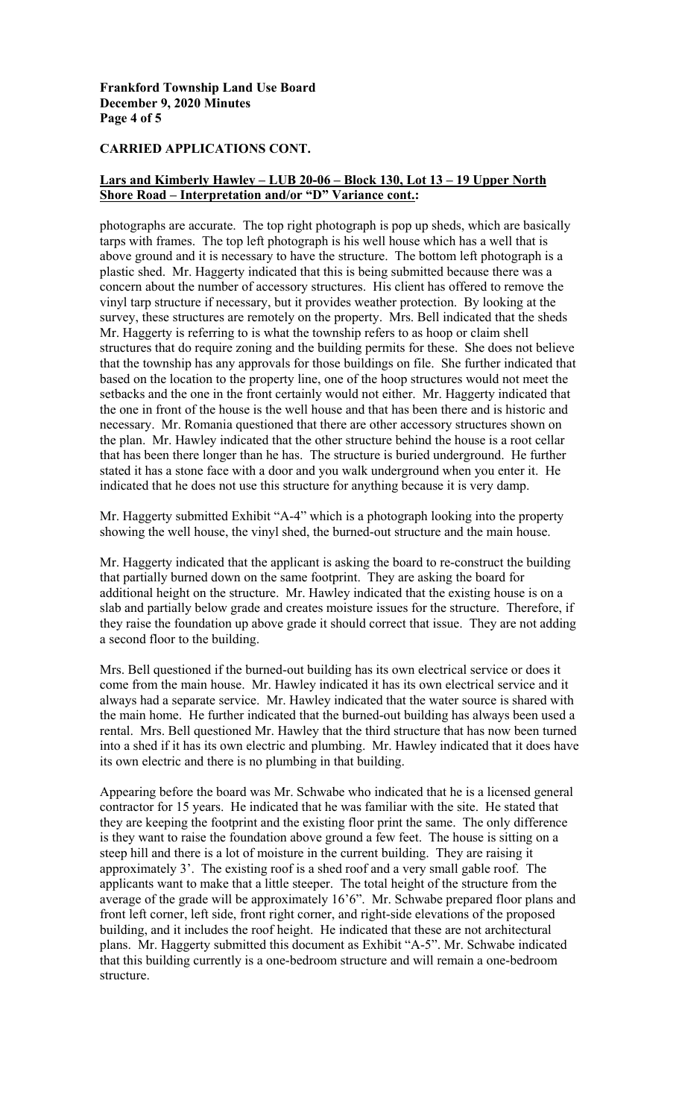### **Frankford Township Land Use Board December 9, 2020 Minutes Page 4 of 5**

# **CARRIED APPLICATIONS CONT.**

## **Lars and Kimberly Hawley – LUB 20-06 – Block 130, Lot 13 – 19 Upper North Shore Road – Interpretation and/or "D" Variance cont.:**

photographs are accurate. The top right photograph is pop up sheds, which are basically tarps with frames. The top left photograph is his well house which has a well that is above ground and it is necessary to have the structure. The bottom left photograph is a plastic shed. Mr. Haggerty indicated that this is being submitted because there was a concern about the number of accessory structures. His client has offered to remove the vinyl tarp structure if necessary, but it provides weather protection. By looking at the survey, these structures are remotely on the property. Mrs. Bell indicated that the sheds Mr. Haggerty is referring to is what the township refers to as hoop or claim shell structures that do require zoning and the building permits for these. She does not believe that the township has any approvals for those buildings on file. She further indicated that based on the location to the property line, one of the hoop structures would not meet the setbacks and the one in the front certainly would not either. Mr. Haggerty indicated that the one in front of the house is the well house and that has been there and is historic and necessary. Mr. Romania questioned that there are other accessory structures shown on the plan. Mr. Hawley indicated that the other structure behind the house is a root cellar that has been there longer than he has. The structure is buried underground. He further stated it has a stone face with a door and you walk underground when you enter it. He indicated that he does not use this structure for anything because it is very damp.

Mr. Haggerty submitted Exhibit "A-4" which is a photograph looking into the property showing the well house, the vinyl shed, the burned-out structure and the main house.

Mr. Haggerty indicated that the applicant is asking the board to re-construct the building that partially burned down on the same footprint. They are asking the board for additional height on the structure. Mr. Hawley indicated that the existing house is on a slab and partially below grade and creates moisture issues for the structure. Therefore, if they raise the foundation up above grade it should correct that issue. They are not adding a second floor to the building.

Mrs. Bell questioned if the burned-out building has its own electrical service or does it come from the main house. Mr. Hawley indicated it has its own electrical service and it always had a separate service. Mr. Hawley indicated that the water source is shared with the main home. He further indicated that the burned-out building has always been used a rental. Mrs. Bell questioned Mr. Hawley that the third structure that has now been turned into a shed if it has its own electric and plumbing. Mr. Hawley indicated that it does have its own electric and there is no plumbing in that building.

Appearing before the board was Mr. Schwabe who indicated that he is a licensed general contractor for 15 years. He indicated that he was familiar with the site. He stated that they are keeping the footprint and the existing floor print the same. The only difference is they want to raise the foundation above ground a few feet. The house is sitting on a steep hill and there is a lot of moisture in the current building. They are raising it approximately 3'. The existing roof is a shed roof and a very small gable roof. The applicants want to make that a little steeper. The total height of the structure from the average of the grade will be approximately 16'6". Mr. Schwabe prepared floor plans and front left corner, left side, front right corner, and right-side elevations of the proposed building, and it includes the roof height. He indicated that these are not architectural plans. Mr. Haggerty submitted this document as Exhibit "A-5". Mr. Schwabe indicated that this building currently is a one-bedroom structure and will remain a one-bedroom structure.